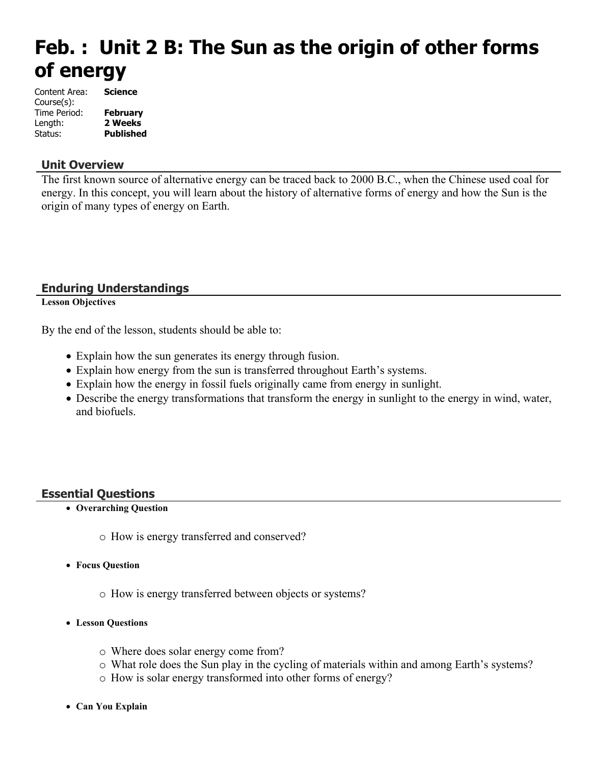# **Feb. : Unit 2 B: The Sun as the origin of other forms of energy**

| Content Area: | <b>Science</b>   |
|---------------|------------------|
| Course(s):    |                  |
| Time Period:  | February         |
| Length:       | 2 Weeks          |
| Status:       | <b>Published</b> |

#### **Unit Overview**

The first known source of alternative energy can be traced back to 2000 B.C., when the Chinese used coal for energy. In this concept, you will learn about the history of alternative forms of energy and how the Sun is the origin of many types of energy on Earth.

#### **Enduring Understandings**

**Lesson Objectives**

By the end of the lesson, students should be able to:

- Explain how the sun generates its energy through fusion.
- Explain how energy from the sun is transferred throughout Earth's systems.
- Explain how the energy in fossil fuels originally came from energy in sunlight.
- Describe the energy transformations that transform the energy in sunlight to the energy in wind, water, and biofuels.

#### **Essential Questions**

- **Overarching Question**
	- o How is energy transferred and conserved?
- **Focus Question**
	- o How is energy transferred between objects or systems?
- **Lesson Questions**
	- o Where does solar energy come from?
	- o What role does the Sun play in the cycling of materials within and among Earth's systems?
	- o How is solar energy transformed into other forms of energy?
- **Can You Explain**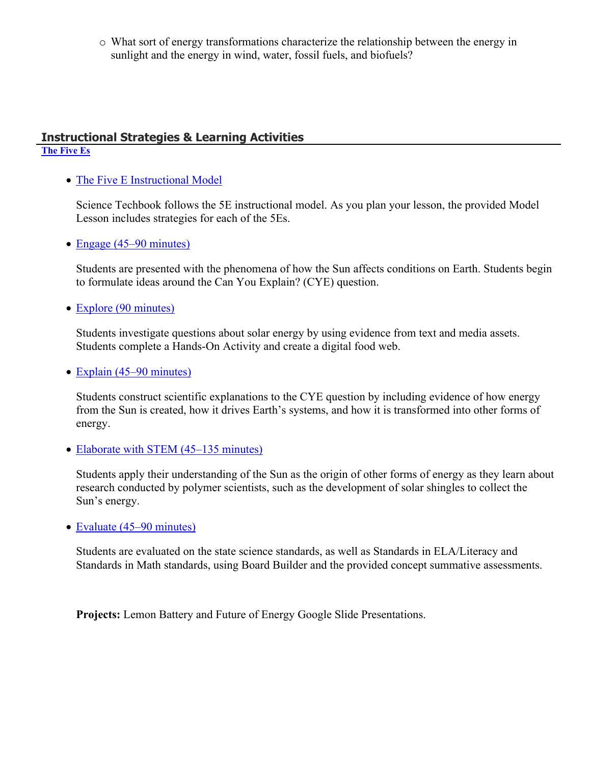o What sort of energy transformations characterize the relationship between the energy in sunlight and the energy in wind, water, fossil fuels, and biofuels?

## **Instructional Strategies & Learning Activities**

## **[The Five Es](https://app.discoveryeducation.com/learn/techbook/units/8bbb0b41-5603-4e74-80ac-5a0d536b350a/concepts/ec17f3c7-b3ec-469e-b878-7f536353ab6b/lesson/sections/d79f3e19-66f3-4247-986a-e82b5130d346)**

• [The Five E Instructional Model](https://app.discoveryeducation.com/learn/techbook/units/8bbb0b41-5603-4e74-80ac-5a0d536b350a/concepts/ec17f3c7-b3ec-469e-b878-7f536353ab6b/lesson/sections/d79f3e19-66f3-4247-986a-e82b5130d346#c88b483e-be87-46b9-b1ab-5e624a4ebc2f)

Science Techbook follows the 5E instructional model. As you plan your lesson, the provided Model Lesson includes strategies for each of the 5Es.

• [Engage \(45–90 minutes\)](https://app.discoveryeducation.com/learn/techbook/units/8bbb0b41-5603-4e74-80ac-5a0d536b350a/concepts/ec17f3c7-b3ec-469e-b878-7f536353ab6b/lesson/sections/d79f3e19-66f3-4247-986a-e82b5130d346#2f37b396-3473-4b27-9634-0f3e6a0c4f42)

Students are presented with the phenomena of how the Sun affects conditions on Earth. Students begin to formulate ideas around the Can You Explain? (CYE) question.

• [Explore \(90 minutes\)](https://app.discoveryeducation.com/learn/techbook/units/8bbb0b41-5603-4e74-80ac-5a0d536b350a/concepts/ec17f3c7-b3ec-469e-b878-7f536353ab6b/lesson/sections/d79f3e19-66f3-4247-986a-e82b5130d346#4f677c75-1790-44b8-a6b4-57f1a56153bd)

Students investigate questions about solar energy by using evidence from text and media assets. Students complete a Hands-On Activity and create a digital food web.

• [Explain \(45–90 minutes\)](https://app.discoveryeducation.com/learn/techbook/units/8bbb0b41-5603-4e74-80ac-5a0d536b350a/concepts/ec17f3c7-b3ec-469e-b878-7f536353ab6b/lesson/sections/d79f3e19-66f3-4247-986a-e82b5130d346#4b3a6b0f-0332-458d-8603-b18091e74f81)

Students construct scientific explanations to the CYE question by including evidence of how energy from the Sun is created, how it drives Earth's systems, and how it is transformed into other forms of energy.

• [Elaborate with STEM \(45–135 minutes\)](https://app.discoveryeducation.com/learn/techbook/units/8bbb0b41-5603-4e74-80ac-5a0d536b350a/concepts/ec17f3c7-b3ec-469e-b878-7f536353ab6b/lesson/sections/d79f3e19-66f3-4247-986a-e82b5130d346#4e839986-92b7-4109-8b58-7930add77ed5)

Students apply their understanding of the Sun as the origin of other forms of energy as they learn about research conducted by polymer scientists, such as the development of solar shingles to collect the Sun's energy.

• [Evaluate \(45–90 minutes\)](https://app.discoveryeducation.com/learn/techbook/units/8bbb0b41-5603-4e74-80ac-5a0d536b350a/concepts/ec17f3c7-b3ec-469e-b878-7f536353ab6b/lesson/sections/d79f3e19-66f3-4247-986a-e82b5130d346#19b48ecf-62e7-409a-b9ae-1d1123794ecf)

Students are evaluated on the state science standards, as well as Standards in ELA/Literacy and Standards in Math standards, using Board Builder and the provided concept summative assessments.

**Projects:** Lemon Battery and Future of Energy Google Slide Presentations.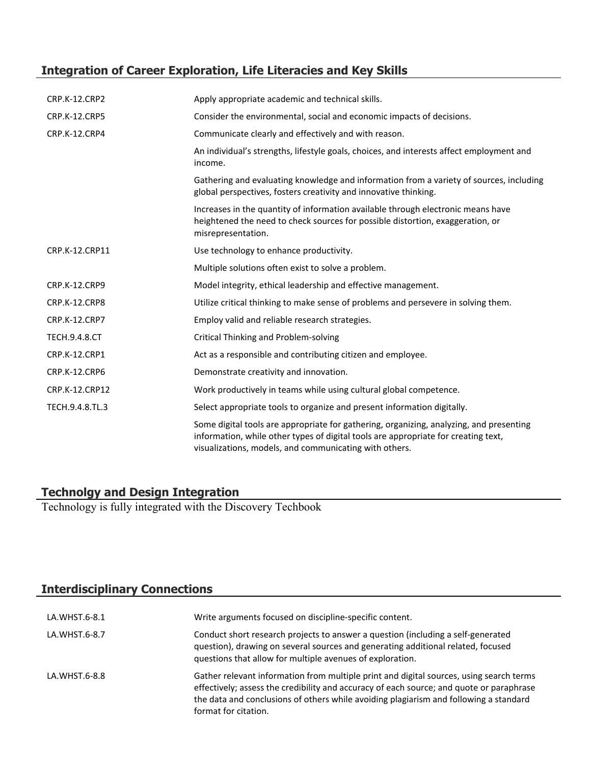## **Integration of Career Exploration, Life Literacies and Key Skills**

| <b>CRP.K-12.CRP2</b> | Apply appropriate academic and technical skills.                                                                                                                                                                                        |
|----------------------|-----------------------------------------------------------------------------------------------------------------------------------------------------------------------------------------------------------------------------------------|
| CRP.K-12.CRP5        | Consider the environmental, social and economic impacts of decisions.                                                                                                                                                                   |
| CRP.K-12.CRP4        | Communicate clearly and effectively and with reason.                                                                                                                                                                                    |
|                      | An individual's strengths, lifestyle goals, choices, and interests affect employment and<br>income.                                                                                                                                     |
|                      | Gathering and evaluating knowledge and information from a variety of sources, including<br>global perspectives, fosters creativity and innovative thinking.                                                                             |
|                      | Increases in the quantity of information available through electronic means have<br>heightened the need to check sources for possible distortion, exaggeration, or<br>misrepresentation.                                                |
| CRP.K-12.CRP11       | Use technology to enhance productivity.                                                                                                                                                                                                 |
|                      | Multiple solutions often exist to solve a problem.                                                                                                                                                                                      |
| CRP.K-12.CRP9        | Model integrity, ethical leadership and effective management.                                                                                                                                                                           |
| CRP.K-12.CRP8        | Utilize critical thinking to make sense of problems and persevere in solving them.                                                                                                                                                      |
| CRP.K-12.CRP7        | Employ valid and reliable research strategies.                                                                                                                                                                                          |
| <b>TECH.9.4.8.CT</b> | Critical Thinking and Problem-solving                                                                                                                                                                                                   |
| CRP.K-12.CRP1        | Act as a responsible and contributing citizen and employee.                                                                                                                                                                             |
| CRP.K-12.CRP6        | Demonstrate creativity and innovation.                                                                                                                                                                                                  |
| CRP.K-12.CRP12       | Work productively in teams while using cultural global competence.                                                                                                                                                                      |
| TECH.9.4.8.TL.3      | Select appropriate tools to organize and present information digitally.                                                                                                                                                                 |
|                      | Some digital tools are appropriate for gathering, organizing, analyzing, and presenting<br>information, while other types of digital tools are appropriate for creating text,<br>visualizations, models, and communicating with others. |

#### **Technolgy and Design Integration**

Technology is fully integrated with the Discovery Techbook

### **Interdisciplinary Connections**

| LA.WHST.6-8.1 | Write arguments focused on discipline-specific content.                                                                                                                                                                                                                                              |
|---------------|------------------------------------------------------------------------------------------------------------------------------------------------------------------------------------------------------------------------------------------------------------------------------------------------------|
| LA.WHST.6-8.7 | Conduct short research projects to answer a question (including a self-generated<br>question), drawing on several sources and generating additional related, focused<br>questions that allow for multiple avenues of exploration.                                                                    |
| LA.WHST.6-8.8 | Gather relevant information from multiple print and digital sources, using search terms<br>effectively; assess the credibility and accuracy of each source; and quote or paraphrase<br>the data and conclusions of others while avoiding plagiarism and following a standard<br>format for citation. |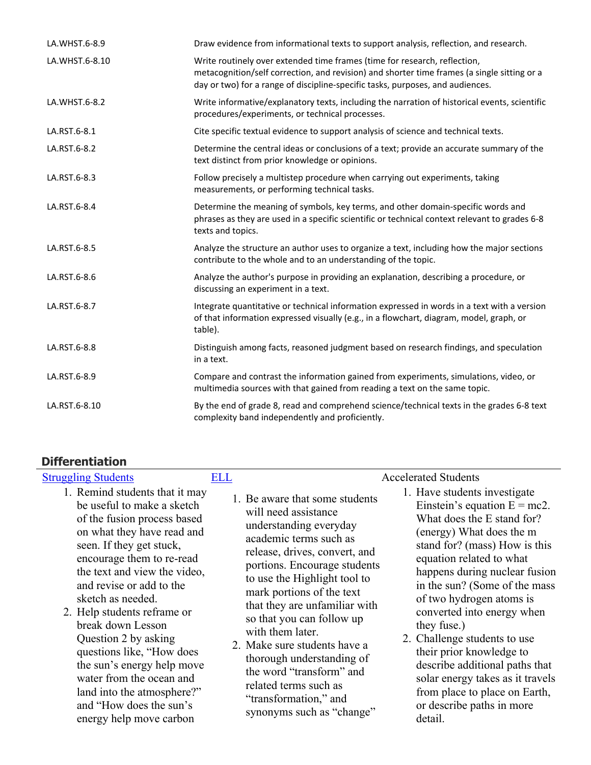| LA.WHST.6-8.9  | Draw evidence from informational texts to support analysis, reflection, and research.                                                                                                                                                                      |
|----------------|------------------------------------------------------------------------------------------------------------------------------------------------------------------------------------------------------------------------------------------------------------|
| LA.WHST.6-8.10 | Write routinely over extended time frames (time for research, reflection,<br>metacognition/self correction, and revision) and shorter time frames (a single sitting or a<br>day or two) for a range of discipline-specific tasks, purposes, and audiences. |
| LA.WHST.6-8.2  | Write informative/explanatory texts, including the narration of historical events, scientific<br>procedures/experiments, or technical processes.                                                                                                           |
| LA.RST.6-8.1   | Cite specific textual evidence to support analysis of science and technical texts.                                                                                                                                                                         |
| LA.RST.6-8.2   | Determine the central ideas or conclusions of a text; provide an accurate summary of the<br>text distinct from prior knowledge or opinions.                                                                                                                |
| LA.RST.6-8.3   | Follow precisely a multistep procedure when carrying out experiments, taking<br>measurements, or performing technical tasks.                                                                                                                               |
| LA.RST.6-8.4   | Determine the meaning of symbols, key terms, and other domain-specific words and<br>phrases as they are used in a specific scientific or technical context relevant to grades 6-8<br>texts and topics.                                                     |
| LA.RST.6-8.5   | Analyze the structure an author uses to organize a text, including how the major sections<br>contribute to the whole and to an understanding of the topic.                                                                                                 |
| LA.RST.6-8.6   | Analyze the author's purpose in providing an explanation, describing a procedure, or<br>discussing an experiment in a text.                                                                                                                                |
| LA.RST.6-8.7   | Integrate quantitative or technical information expressed in words in a text with a version<br>of that information expressed visually (e.g., in a flowchart, diagram, model, graph, or<br>table).                                                          |
| LA.RST.6-8.8   | Distinguish among facts, reasoned judgment based on research findings, and speculation<br>in a text.                                                                                                                                                       |
| LA.RST.6-8.9   | Compare and contrast the information gained from experiments, simulations, video, or<br>multimedia sources with that gained from reading a text on the same topic.                                                                                         |
| LA.RST.6-8.10  | By the end of grade 8, read and comprehend science/technical texts in the grades 6-8 text<br>complexity band independently and proficiently.                                                                                                               |

## **Differentiation**

energy help move carbon

| <b>Struggling Students</b>                                                                                                                                                                                                                                                                                                                                                                                                                                           | ELL | <b>Accelerated Students</b>                                                                                                                                                                                                                                                                                                                                                                                                                                                                                                                                                                                                                                                                                                                                                                                                                                                                                                                                                   |
|----------------------------------------------------------------------------------------------------------------------------------------------------------------------------------------------------------------------------------------------------------------------------------------------------------------------------------------------------------------------------------------------------------------------------------------------------------------------|-----|-------------------------------------------------------------------------------------------------------------------------------------------------------------------------------------------------------------------------------------------------------------------------------------------------------------------------------------------------------------------------------------------------------------------------------------------------------------------------------------------------------------------------------------------------------------------------------------------------------------------------------------------------------------------------------------------------------------------------------------------------------------------------------------------------------------------------------------------------------------------------------------------------------------------------------------------------------------------------------|
| 1. Remind students that it may<br>be useful to make a sketch<br>of the fusion process based<br>on what they have read and<br>seen. If they get stuck,<br>encourage them to re-read<br>the text and view the video,<br>and revise or add to the<br>sketch as needed.<br>2. Help students reframe or<br>break down Lesson<br>Question 2 by asking<br>questions like, "How does<br>the sun's energy help move<br>water from the ocean and<br>land into the atmosphere?" |     | 1. Have students investigate<br>1. Be aware that some students<br>Einstein's equation $E = mc2$ .<br>will need assistance<br>What does the E stand for?<br>understanding everyday<br>(energy) What does the m<br>academic terms such as<br>stand for? (mass) How is this<br>release, drives, convert, and<br>equation related to what<br>portions. Encourage students<br>happens during nuclear fusion<br>to use the Highlight tool to<br>in the sun? (Some of the mass<br>mark portions of the text<br>of two hydrogen atoms is<br>that they are unfamiliar with<br>converted into energy when<br>so that you can follow up<br>they fuse.)<br>with them later.<br>2. Challenge students to use<br>2. Make sure students have a<br>their prior knowledge to<br>thorough understanding of<br>describe additional paths that<br>the word "transform" and<br>solar energy takes as it travels<br>related terms such as<br>from place to place on Earth,<br>"transformation," and |
| and "How does the sun's                                                                                                                                                                                                                                                                                                                                                                                                                                              |     | or describe paths in more                                                                                                                                                                                                                                                                                                                                                                                                                                                                                                                                                                                                                                                                                                                                                                                                                                                                                                                                                     |

synonyms such as "change"

detail.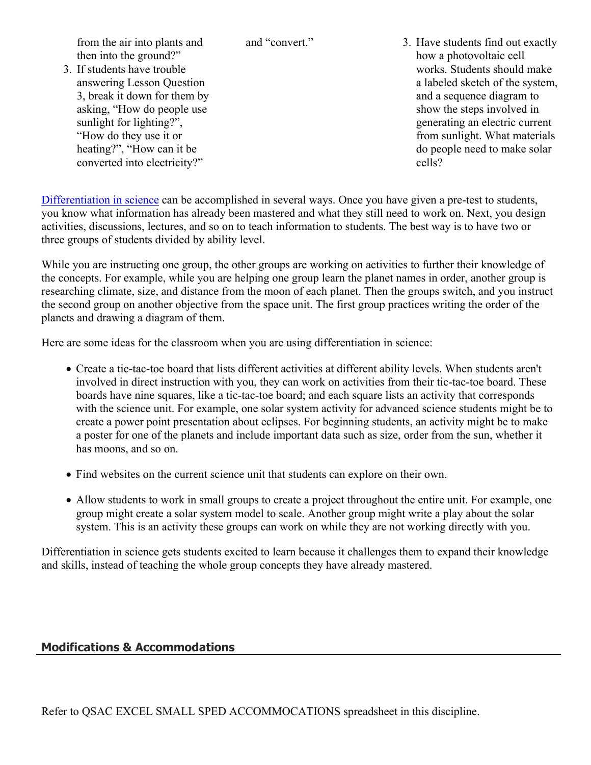from the air into plants and then into the ground?"

- 3. If students have trouble answering Lesson Question 3, break it down for them by asking, "How do people use sunlight for lighting?", "How do they use it or heating?", "How can it be converted into electricity?"
- and "convert." 3. Have students find out exactly how a photovoltaic cell works. Students should make a labeled sketch of the system, and a sequence diagram to show the steps involved in generating an electric current from sunlight. What materials do people need to make solar cells?

[Differentiation in science](http://www.brighthubeducation.com/teaching-gifted-students/65181-differentiation-techniques-and-activities-in-the-classroom-for-gifted-students/) can be accomplished in several ways. Once you have given a pre-test to students, you know what information has already been mastered and what they still need to work on. Next, you design activities, discussions, lectures, and so on to teach information to students. The best way is to have two or three groups of students divided by ability level.

While you are instructing one group, the other groups are working on activities to further their knowledge of the concepts. For example, while you are helping one group learn the planet names in order, another group is researching climate, size, and distance from the moon of each planet. Then the groups switch, and you instruct the second group on another objective from the space unit. The first group practices writing the order of the planets and drawing a diagram of them.

Here are some ideas for the classroom when you are using differentiation in science:

- Create a tic-tac-toe board that lists different activities at different ability levels. When students aren't involved in direct instruction with you, they can work on activities from their tic-tac-toe board. These boards have nine squares, like a tic-tac-toe board; and each square lists an activity that corresponds with the science unit. For example, one solar system activity for advanced science students might be to create a power point presentation about eclipses. For beginning students, an activity might be to make a poster for one of the planets and include important data such as size, order from the sun, whether it has moons, and so on.
- Find websites on the current science unit that students can explore on their own.
- Allow students to work in small groups to create a project throughout the entire unit. For example, one group might create a solar system model to scale. Another group might write a play about the solar system. This is an activity these groups can work on while they are not working directly with you.

Differentiation in science gets students excited to learn because it challenges them to expand their knowledge and skills, instead of teaching the whole group concepts they have already mastered.

### **Modifications & Accommodations**

Refer to QSAC EXCEL SMALL SPED ACCOMMOCATIONS spreadsheet in this discipline.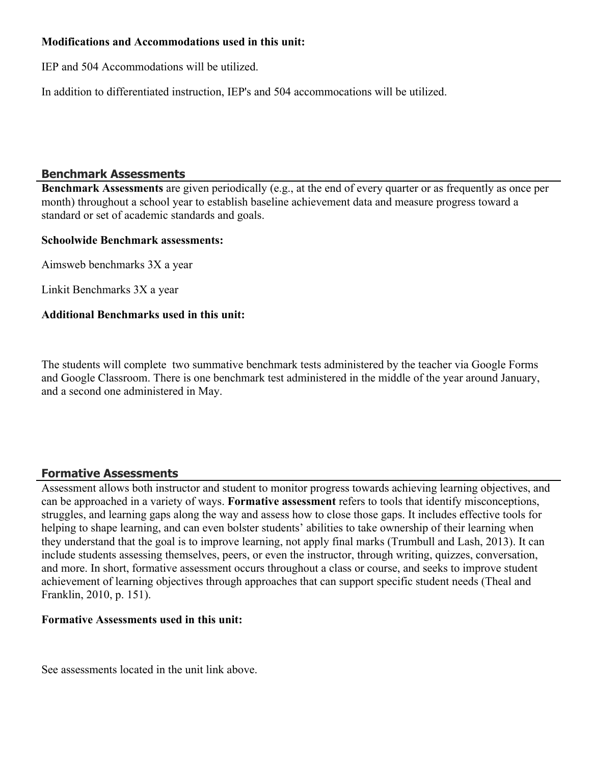#### **Modifications and Accommodations used in this unit:**

IEP and 504 Accommodations will be utilized.

In addition to differentiated instruction, IEP's and 504 accommocations will be utilized.

#### **Benchmark Assessments**

**Benchmark Assessments** are given periodically (e.g., at the end of every quarter or as frequently as once per month) throughout a school year to establish baseline achievement data and measure progress toward a standard or set of academic standards and goals.

#### **Schoolwide Benchmark assessments:**

Aimsweb benchmarks 3X a year

Linkit Benchmarks 3X a year

#### **Additional Benchmarks used in this unit:**

The students will complete two summative benchmark tests administered by the teacher via Google Forms and Google Classroom. There is one benchmark test administered in the middle of the year around January, and a second one administered in May.

#### **Formative Assessments**

Assessment allows both instructor and student to monitor progress towards achieving learning objectives, and can be approached in a variety of ways. **Formative assessment** refers to tools that identify misconceptions, struggles, and learning gaps along the way and assess how to close those gaps. It includes effective tools for helping to shape learning, and can even bolster students' abilities to take ownership of their learning when they understand that the goal is to improve learning, not apply final marks (Trumbull and Lash, 2013). It can include students assessing themselves, peers, or even the instructor, through writing, quizzes, conversation, and more. In short, formative assessment occurs throughout a class or course, and seeks to improve student achievement of learning objectives through approaches that can support specific student needs (Theal and Franklin, 2010, p. 151).

#### **Formative Assessments used in this unit:**

See assessments located in the unit link above.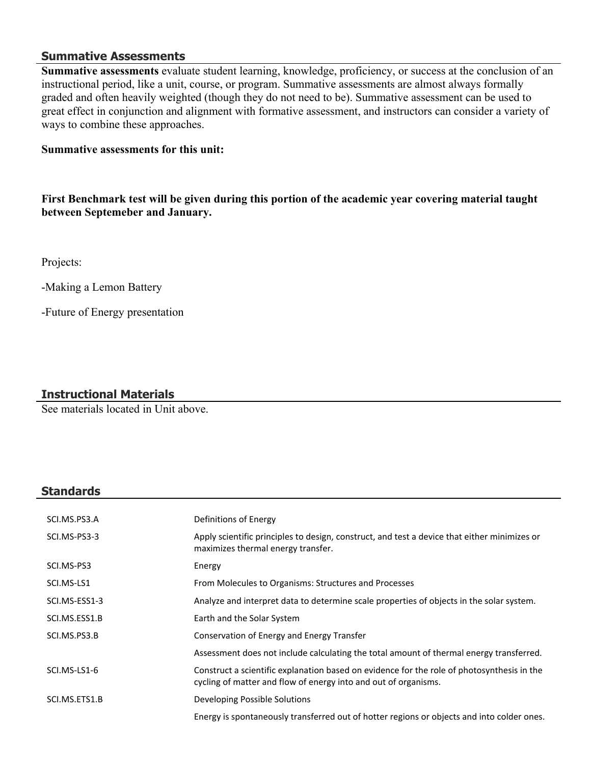#### **Summative Assessments**

**Summative assessments** evaluate student learning, knowledge, proficiency, or success at the conclusion of an instructional period, like a unit, course, or program. Summative assessments are almost always formally graded and often heavily weighted (though they do not need to be). Summative assessment can be used to great effect in conjunction and alignment with formative assessment, and instructors can consider a variety of ways to combine these approaches.

#### **Summative assessments for this unit:**

**First Benchmark test will be given during this portion of the academic year covering material taught between Septemeber and January.** 

Projects:

-Making a Lemon Battery

-Future of Energy presentation

#### **Instructional Materials**

See materials located in Unit above.

#### **Standards**

| SCI.MS.PS3.A  | Definitions of Energy                                                                                                                                         |
|---------------|---------------------------------------------------------------------------------------------------------------------------------------------------------------|
| SCI.MS-PS3-3  | Apply scientific principles to design, construct, and test a device that either minimizes or<br>maximizes thermal energy transfer.                            |
| SCI.MS-PS3    | Energy                                                                                                                                                        |
| SCI.MS-LS1    | From Molecules to Organisms: Structures and Processes                                                                                                         |
| SCI.MS-ESS1-3 | Analyze and interpret data to determine scale properties of objects in the solar system.                                                                      |
| SCI.MS.ESS1.B | Earth and the Solar System                                                                                                                                    |
| SCI.MS.PS3.B  | Conservation of Energy and Energy Transfer                                                                                                                    |
|               | Assessment does not include calculating the total amount of thermal energy transferred.                                                                       |
| SCI.MS-LS1-6  | Construct a scientific explanation based on evidence for the role of photosynthesis in the<br>cycling of matter and flow of energy into and out of organisms. |
| SCI.MS.ETS1.B | Developing Possible Solutions                                                                                                                                 |
|               | Energy is spontaneously transferred out of hotter regions or objects and into colder ones.                                                                    |